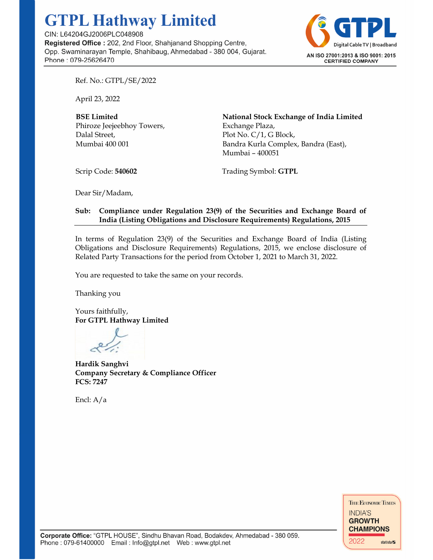## **GTPL Hathway Limited**

CIN: L64204GJ2006PLC048908 Registered Office: 202, 2nd Floor, Shahjanand Shopping Centre, Opp. Swaminarayan Temple, Shahibaug, Ahmedabad - 380 004, Gujarat. Phone: 079-25626470



Ref. No.: GTPL/SE/2022

April 23, 2022

**BSE Limited**  Phiroze Jeejeebhoy Towers, Dalal Street, Mumbai 400 001

**National Stock Exchange of India Limited**  Exchange Plaza, Plot No. C/1, G Block, Bandra Kurla Complex, Bandra (East), Mumbai – 400051

Scrip Code: **540602**

Trading Symbol: **GTPL**

Dear Sir/Madam,

## **Sub: Compliance under Regulation 23(9) of the Securities and Exchange Board of India (Listing Obligations and Disclosure Requirements) Regulations, 2015**

In terms of Regulation 23(9) of the Securities and Exchange Board of India (Listing Obligations and Disclosure Requirements) Regulations, 2015, we enclose disclosure of Related Party Transactions for the period from October 1, 2021 to March 31, 2022.

You are requested to take the same on your records.

Thanking you

Yours faithfully, **For GTPL Hathway Limited** 

**Hardik Sanghvi Company Secretary & Compliance Officer FCS: 7247** 

Encl: A/a

THE ECONOMIC TIMES **INDIA'S GROWTH CHAMPIONS** 2022 statista Z

Corporate Office: "GTPL HOUSE", Sindhu Bhavan Road, Bodakdev, Ahmedabad - 380 059. Phone: 079-61400000 Email: Info@gtpl.net Web: www.gtpl.net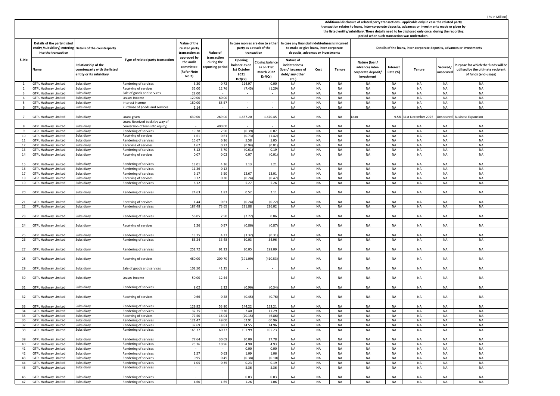|                     |                                                            |                                                                                 |                                                |                                                                                                                  |                                                          |                                                                             |                                                                     | Additional disclosure of related party transactions - applicable only in case the related party<br>transaction relates to loans, inter-corporate deposits, advances or investments made or given by<br>the listed entity/subsidiary. These details need to be disclosed only once, during the reporting |                                              |                        |                                                                         |                      |                         |                        |                                                                                                   |  |  |
|---------------------|------------------------------------------------------------|---------------------------------------------------------------------------------|------------------------------------------------|------------------------------------------------------------------------------------------------------------------|----------------------------------------------------------|-----------------------------------------------------------------------------|---------------------------------------------------------------------|---------------------------------------------------------------------------------------------------------------------------------------------------------------------------------------------------------------------------------------------------------------------------------------------------------|----------------------------------------------|------------------------|-------------------------------------------------------------------------|----------------------|-------------------------|------------------------|---------------------------------------------------------------------------------------------------|--|--|
|                     |                                                            |                                                                                 |                                                |                                                                                                                  |                                                          |                                                                             |                                                                     |                                                                                                                                                                                                                                                                                                         | period when such transaction was undertaken. |                        |                                                                         |                      |                         |                        |                                                                                                   |  |  |
|                     | Details of the party (listed<br>into the transaction       | entity /subsidiary) entering Details of the counterparty                        |                                                | Value of the<br>related party<br>transaction as<br>approved by<br>the audit<br>committee<br>(Refer Note<br>No.2) | Value of<br>transaction<br>during the<br>eporting period | In case monies are due to either<br>party as a result of the<br>transaction |                                                                     | In case any financial indebtedness is incurred<br>to make or give loans, inter-corporate<br>deposits, advances or investments                                                                                                                                                                           |                                              |                        | Details of the loans, inter-corporate deposits, advances or investments |                      |                         |                        |                                                                                                   |  |  |
| S. No               | Name                                                       | Relationship of the<br>counterparty with the listed<br>entity or its subsidiary | Type of related party transaction              |                                                                                                                  |                                                          | Opening<br>balance as on<br>1st October<br>2021<br>Dr/(Cr)                  | <b>losing balance</b><br>as on 31st<br><b>March 2022</b><br>Dr/(Cr) | Nature of<br>indebtedness<br>loan/issuance of<br>debt/ any other<br>etc.)                                                                                                                                                                                                                               | Cost                                         | Tenure                 | Nature (loan/<br>advance/inter-<br>corporate deposit/<br>investment     | Interest<br>Rate (%) | Tenure                  | Secured/<br>unsecured  | Purpose for which the funds will be<br>utilised by the ultimate recipient<br>of funds (end-usage) |  |  |
| 1                   | <b>GTPL Hathway Limited</b>                                | Subsidiary                                                                      | Rendering of services                          | 3.30                                                                                                             | 0.72                                                     | 114.97                                                                      | 0.00                                                                | <b>NA</b>                                                                                                                                                                                                                                                                                               | <b>NA</b>                                    | <b>NA</b>              | NA                                                                      | NA                   | <b>NA</b>               | NA                     | <b>NA</b>                                                                                         |  |  |
|                     | <b>GTPL Hathway Limited</b>                                | Subsidiary                                                                      | Receiving of services                          | 35.00                                                                                                            | 12.76                                                    | (7.45)                                                                      | (1.29)                                                              | <b>NA</b>                                                                                                                                                                                                                                                                                               | <b>NA</b>                                    | <b>NA</b>              | <b>NA</b>                                                               | <b>NA</b>            | <b>NA</b>               | <b>NA</b>              | <b>NA</b>                                                                                         |  |  |
| 3                   | <b>GTPL Hathway Limited</b>                                | Subsidiary                                                                      | Sale of goods and services                     | 22.00                                                                                                            | $\sim$                                                   | $\overline{\phantom{a}}$                                                    |                                                                     | NA                                                                                                                                                                                                                                                                                                      | <b>NA</b>                                    | <b>NA</b>              | <b>NA</b>                                                               | NA                   | NA                      | NA                     | <b>NA</b>                                                                                         |  |  |
| $\overline{4}$<br>5 | <b>GTPL Hathway Limited</b><br><b>GTPL Hathway Limited</b> | Subsidiary<br>Subsidiary                                                        | eases Income<br>nterest income                 | 120.00<br>180.00                                                                                                 | 60.00<br>85.57                                           | $\sim$<br>÷                                                                 | $\sim$                                                              | <b>NA</b><br>NA                                                                                                                                                                                                                                                                                         | <b>NA</b><br><b>NA</b>                       | <b>NA</b><br><b>NA</b> | NA<br>NA                                                                | NA<br><b>NA</b>      | NA<br>NA                | <b>NA</b><br><b>NA</b> | NA<br><b>NA</b>                                                                                   |  |  |
| 6                   | <b>GTPL Hathway Limited</b>                                | Subsidiary                                                                      | Purchase of goods and services                 | 1.14                                                                                                             | $\sim$                                                   | $\sim$                                                                      | $\sim$                                                              | <b>NA</b>                                                                                                                                                                                                                                                                                               | <b>NA</b>                                    | NA                     | NA                                                                      | NA                   | NA                      | NA                     | NA                                                                                                |  |  |
|                     |                                                            |                                                                                 |                                                |                                                                                                                  |                                                          |                                                                             |                                                                     |                                                                                                                                                                                                                                                                                                         |                                              |                        |                                                                         |                      |                         |                        |                                                                                                   |  |  |
| $\overline{7}$      | <b>GTPL Hathway Limited</b>                                | subsidiary                                                                      | oans given<br>Loans Received back (by way of   | 630.00                                                                                                           | 269.00                                                   | 1,657.20                                                                    | 1,670.45                                                            | <b>NA</b>                                                                                                                                                                                                                                                                                               | <b>NA</b>                                    | <b>NA</b>              | .oan                                                                    |                      | 9.5% 31st December 2025 |                        | Unsecured Business Expansion                                                                      |  |  |
| 8                   | <b>GTPL Hathway Limited</b>                                | Subsidiary                                                                      | conversion of loan into equity)                |                                                                                                                  | 400.00                                                   |                                                                             |                                                                     | NA                                                                                                                                                                                                                                                                                                      | NA                                           | <b>NA</b>              | NA                                                                      | NA                   | NA                      | NA                     | NA                                                                                                |  |  |
| 9                   | <b>GTPL Hathway Limited</b>                                | Subsidiary                                                                      | Rendering of services                          | 19.28                                                                                                            | 7.50                                                     | (0.39)                                                                      | 0.07                                                                | NA                                                                                                                                                                                                                                                                                                      | NA                                           | NA                     | <b>NA</b>                                                               | NA                   | NA                      | <b>NA</b>              | <b>NA</b>                                                                                         |  |  |
| 10                  | <b>GTPL Hathway Limited</b>                                | Subsidiary                                                                      | Receiving of services                          | 1.61                                                                                                             | 0.61                                                     | (0.73)                                                                      | (1.42)                                                              | <b>NA</b>                                                                                                                                                                                                                                                                                               | <b>NA</b>                                    | <b>NA</b>              | <b>NA</b>                                                               | <b>NA</b>            | NA                      | NA                     | NA                                                                                                |  |  |
| 11                  | <b>GTPL Hathway Limited</b>                                | Subsidiary                                                                      | Rendering of services                          | 15.67                                                                                                            | 6.36                                                     | 5.58                                                                        | 5.05                                                                | NA                                                                                                                                                                                                                                                                                                      | <b>NA</b>                                    | <b>NA</b>              | NA                                                                      | <b>NA</b>            | <b>NA</b>               | NA                     | <b>NA</b>                                                                                         |  |  |
| 12<br>13            | <b>GTPL Hathway Limited</b><br><b>GTPL Hathway Limited</b> | Subsidiary<br>Subsidiary                                                        | Receiving of services                          | 1.67<br>8.12                                                                                                     | 0.72<br>3.70                                             | (0.94)<br>(0.61)                                                            | (0.81)<br>0.19                                                      | NA<br>NA                                                                                                                                                                                                                                                                                                | <b>NA</b><br><b>NA</b>                       | <b>NA</b><br><b>NA</b> | <b>NA</b><br><b>NA</b>                                                  | NA<br><b>NA</b>      | NA<br><b>NA</b>         | <b>NA</b><br>NA        | NA<br><b>NA</b>                                                                                   |  |  |
| 14                  | <b>GTPL Hathway Limited</b>                                | Subsidiary                                                                      | Rendering of services<br>Receiving of services | 0.07                                                                                                             | 0.02                                                     | 0.07                                                                        | (0.01)                                                              | NA                                                                                                                                                                                                                                                                                                      | <b>NA</b>                                    | <b>NA</b>              | NA                                                                      | <b>NA</b>            | NA                      | <b>NA</b>              | <b>NA</b>                                                                                         |  |  |
|                     |                                                            |                                                                                 |                                                | 13.01                                                                                                            | 4.36                                                     |                                                                             |                                                                     |                                                                                                                                                                                                                                                                                                         |                                              |                        |                                                                         |                      |                         |                        |                                                                                                   |  |  |
| 15<br>16            | <b>GTPL Hathway Limited</b><br><b>GTPL Hathway Limited</b> | Subsidiary<br>Subsidiary                                                        | Rendering of services<br>Rendering of services | 11.36                                                                                                            | $-0.12$                                                  | 1.13                                                                        | 1.21                                                                | NA<br><b>NA</b>                                                                                                                                                                                                                                                                                         | <b>NA</b><br><b>NA</b>                       | <b>NA</b><br><b>NA</b> | <b>NA</b><br>NA                                                         | NA<br><b>NA</b>      | <b>NA</b><br><b>NA</b>  | NA<br><b>NA</b>        | <b>NA</b><br><b>NA</b>                                                                            |  |  |
| 17                  | <b>GTPL Hathway Limited</b>                                | Subsidiary                                                                      | Rendering of services                          | 9.17                                                                                                             | 3.50                                                     | 12.67                                                                       | 13.01                                                               | <b>NA</b>                                                                                                                                                                                                                                                                                               | <b>NA</b>                                    | <b>NA</b>              | NA                                                                      | <b>NA</b>            | <b>NA</b>               | NA                     | <b>NA</b>                                                                                         |  |  |
| 18                  | <b>GTPL Hathway Limited</b>                                | Subsidiary                                                                      | Receiving of services                          | 0.72                                                                                                             | 0.20                                                     | (0.24)                                                                      | (0.47)                                                              | <b>NA</b>                                                                                                                                                                                                                                                                                               | <b>NA</b>                                    | <b>NA</b>              | NA                                                                      | NA                   | <b>NA</b>               | <b>NA</b>              | <b>NA</b>                                                                                         |  |  |
| 19                  | <b>GTPL Hathway Limited</b>                                | Subsidiary                                                                      | Rendering of services                          | 6.12                                                                                                             | $\sim$                                                   | 5.27                                                                        | 5.26                                                                | NA                                                                                                                                                                                                                                                                                                      | NA                                           | NA                     | <b>NA</b>                                                               | NA                   | <b>NA</b>               | <b>NA</b>              | NA                                                                                                |  |  |
| 20                  | <b>GTPL Hathway Limited</b>                                | Subsidiary                                                                      | Rendering of services                          | 24.63                                                                                                            | 1.82                                                     | 0.52                                                                        | 2.11                                                                | NA                                                                                                                                                                                                                                                                                                      | <b>NA</b>                                    | <b>NA</b>              | NA                                                                      | NA                   | NA                      | NA                     | <b>NA</b>                                                                                         |  |  |
| 21                  | <b>GTPL Hathway Limited</b>                                | Subsidiary                                                                      | Receiving of services                          | 1.44                                                                                                             | 0.61                                                     | (0.24)                                                                      | (0.22)                                                              | NA                                                                                                                                                                                                                                                                                                      | <b>NA</b>                                    | <b>NA</b>              | NA.                                                                     | NA                   | NA                      | NA                     | <b>NA</b>                                                                                         |  |  |
| 22                  | <b>GTPL Hathway Limited</b>                                | Subsidiary                                                                      | Rendering of services                          | 187.48                                                                                                           | 73.65                                                    | 231.88                                                                      | 236.02                                                              | <b>NA</b>                                                                                                                                                                                                                                                                                               | <b>NA</b>                                    | <b>NA</b>              | NA                                                                      | <b>NA</b>            | NA                      | <b>NA</b>              | <b>NA</b>                                                                                         |  |  |
| 23                  | <b>GTPL Hathway Limited</b>                                | Subsidiary                                                                      | Rendering of services                          | 56.05                                                                                                            | 7.50                                                     | (2.77)                                                                      | 0.86                                                                | <b>NA</b>                                                                                                                                                                                                                                                                                               | NA                                           | <b>NA</b>              | NA                                                                      | NA                   | NA                      | NA                     | NA                                                                                                |  |  |
| 24                  | <b>GTPL Hathway Limited</b>                                | Subsidiary                                                                      | Receiving of services                          | 2.26                                                                                                             | 0.97                                                     | (0.86)                                                                      | (0.87)                                                              | NA                                                                                                                                                                                                                                                                                                      | <b>NA</b>                                    | <b>NA</b>              | NA                                                                      | <b>NA</b>            | <b>NA</b>               | NA                     | <b>NA</b>                                                                                         |  |  |
|                     |                                                            |                                                                                 |                                                |                                                                                                                  |                                                          |                                                                             |                                                                     |                                                                                                                                                                                                                                                                                                         |                                              |                        |                                                                         |                      |                         |                        |                                                                                                   |  |  |
| 25<br>26            | <b>GTPL Hathway Limited</b><br><b>GTPL Hathway Limited</b> | Subsidiary<br>Subsidiary                                                        | Rendering of services<br>Rendering of services | 13.15<br>85.24                                                                                                   | 4.37<br>33.48                                            | (3.32)<br>50.03                                                             | (0.31)<br>54.96                                                     | NA<br>NA                                                                                                                                                                                                                                                                                                | NA<br><b>NA</b>                              | NA<br><b>NA</b>        | NA<br><b>NA</b>                                                         | NA<br>NA             | NA<br><b>NA</b>         | NA<br><b>NA</b>        | NA<br><b>NA</b>                                                                                   |  |  |
| 27                  |                                                            |                                                                                 |                                                | 251.72                                                                                                           | 91.22                                                    | 30.05                                                                       | 198.09                                                              | NA                                                                                                                                                                                                                                                                                                      |                                              | NA                     |                                                                         |                      | NA                      | NA                     | <b>NA</b>                                                                                         |  |  |
|                     | <b>GTPL Hathway Limited</b>                                | Subsidiary                                                                      | Rendering of services                          |                                                                                                                  |                                                          |                                                                             |                                                                     |                                                                                                                                                                                                                                                                                                         | NA                                           |                        | NA                                                                      | NA                   |                         |                        |                                                                                                   |  |  |
| 28                  | <b>GTPL Hathway Limited</b>                                | Subsidiary                                                                      | Receiving of services                          | 480.00                                                                                                           | 209.70                                                   | (191.09)                                                                    | (410.53)                                                            | NA                                                                                                                                                                                                                                                                                                      | NA                                           | NA                     | <b>NA</b>                                                               | NA                   | <b>NA</b>               | NA                     | NA                                                                                                |  |  |
| 29                  | <b>GTPL Hathway Limited</b>                                | ubsidiary                                                                       | Sale of goods and services                     | 102.50                                                                                                           | 41.25                                                    |                                                                             |                                                                     | NA                                                                                                                                                                                                                                                                                                      | NA                                           | <b>NA</b>              | NA                                                                      | NA                   | NA                      | NA                     | <b>NA</b>                                                                                         |  |  |
| 30                  | <b>GTPL Hathway Limited</b>                                | Subsidiary                                                                      | Leases Income                                  | 50.00                                                                                                            | 12.44                                                    |                                                                             |                                                                     | NA                                                                                                                                                                                                                                                                                                      | NA                                           | <b>NA</b>              | <b>NA</b>                                                               | NA                   | NA                      | NA                     | <b>NA</b>                                                                                         |  |  |
| 31                  | <b>GTPL Hathway Limited</b>                                | Subsidiary                                                                      | Rendering of services                          | 8.02                                                                                                             | 2.32                                                     | (0.96)                                                                      | (0.34)                                                              | NA                                                                                                                                                                                                                                                                                                      | NA                                           | <b>NA</b>              | NA                                                                      | NA                   | NA                      | NA                     | NA                                                                                                |  |  |
| 32                  | <b>GTPL Hathway Limited</b>                                | Subsidiary                                                                      | Receiving of services                          | 0.66                                                                                                             | 0.28                                                     | (0.45)                                                                      | (0.76)                                                              | NA                                                                                                                                                                                                                                                                                                      | NA                                           | ΝA                     | NA                                                                      | NA                   | NA                      | NA                     | NA                                                                                                |  |  |
| 33                  | <b>GTPL Hathway Limited</b>                                | Subsidiary                                                                      | Rendering of services                          | 129.92                                                                                                           | 53.80                                                    | 144.22                                                                      | 153.21                                                              | <b>NA</b>                                                                                                                                                                                                                                                                                               | <b>NA</b>                                    | <b>NA</b>              | NA                                                                      | <b>NA</b>            | NA                      | NA                     | <b>NA</b>                                                                                         |  |  |
| 34                  | <b>GTPL Hathway Limited</b>                                | Subsidiary                                                                      | Rendering of services                          | 32.75                                                                                                            | 9.76                                                     | 7.40                                                                        | 11.29                                                               | <b>NA</b>                                                                                                                                                                                                                                                                                               | <b>NA</b>                                    | <b>NA</b>              | NA                                                                      | <b>NA</b>            | <b>NA</b>               | NA                     | <b>NA</b>                                                                                         |  |  |
| 35                  | <b>GTPL Hathway Limited</b>                                | Subsidiary                                                                      | Receiving of services                          | 77.50                                                                                                            | 16.04                                                    | (20.15)                                                                     | (6.86)                                                              | NA                                                                                                                                                                                                                                                                                                      | <b>NA</b>                                    | <b>NA</b>              | <b>NA</b>                                                               | NA                   | <b>NA</b>               | <b>NA</b>              | <b>NA</b>                                                                                         |  |  |
| 36<br>37            | GTPL Hathway Limited                                       | Subsidiary                                                                      | Rendering of services                          | 121.47<br>32.69                                                                                                  | 49.00                                                    | 62.91                                                                       | 60.96<br>14.96                                                      | NA<br><b>NA</b>                                                                                                                                                                                                                                                                                         | NA<br><b>NA</b>                              | ΝA                     | <b>NA</b>                                                               | NA                   | ΝA                      | NA<br><b>NA</b>        | <b>NA</b>                                                                                         |  |  |
| 38                  | <b>GTPL Hathway Limited</b><br><b>GTPL Hathway Limited</b> | Subsidiary<br>Subsidiary                                                        | Rendering of services<br>Rendering of services | 163.37                                                                                                           | 8.83<br>60.77                                            | 14.55<br>101.99                                                             | 105.23                                                              | NA                                                                                                                                                                                                                                                                                                      | <b>NA</b>                                    | <b>NA</b><br><b>NA</b> | NA<br><b>NA</b>                                                         | <b>NA</b><br>NA      | <b>NA</b><br>NA         | <b>NA</b>              | <b>NA</b><br><b>NA</b>                                                                            |  |  |
| 39                  | <b>GTPL Hathway Limited</b>                                | Subsidiary                                                                      | Rendering of services                          | 77.64                                                                                                            | 30.69                                                    | 30.09                                                                       | 27.78                                                               | <b>NA</b>                                                                                                                                                                                                                                                                                               | <b>NA</b>                                    | NA                     | <b>NA</b>                                                               | NA                   | NA                      | NA                     | <b>NA</b>                                                                                         |  |  |
| 40                  | <b>GTPL Hathway Limited</b>                                | Subsidiary                                                                      | Rendering of services                          | 25.76                                                                                                            | 10.96                                                    | 4.90                                                                        | 4.93                                                                | <b>NA</b>                                                                                                                                                                                                                                                                                               | <b>NA</b>                                    | <b>NA</b>              | NA                                                                      | NA                   | NA                      | <b>NA</b>              | NA                                                                                                |  |  |
| 41                  | <b>GTPL Hathway Limited</b>                                | Subsidiary                                                                      | Rendering of services                          | $\sim$                                                                                                           | $\sim$                                                   | 0.00                                                                        | 0.00                                                                | NA                                                                                                                                                                                                                                                                                                      | <b>NA</b>                                    | <b>NA</b>              | NA                                                                      | NA                   | NA                      | <b>NA</b>              | NA                                                                                                |  |  |
| 42                  | <b>GTPL Hathway Limited</b>                                | Subsidiary                                                                      | Rendering of services                          | 1.57                                                                                                             | 0.63                                                     | 1.09                                                                        | 1.06                                                                | NA                                                                                                                                                                                                                                                                                                      | <b>NA</b>                                    | <b>NA</b>              | <b>NA</b>                                                               | <b>NA</b>            | NA                      | <b>NA</b>              | <b>NA</b>                                                                                         |  |  |
| 43                  | <b>GTPL Hathway Limited</b>                                | Subsidiary                                                                      | Rendering of services                          | 0.95                                                                                                             | 0.45                                                     | (0.38)                                                                      | (0.10)                                                              | <b>NA</b>                                                                                                                                                                                                                                                                                               | <b>NA</b>                                    | <b>NA</b>              | <b>NA</b>                                                               | NA                   | <b>NA</b>               | <b>NA</b>              | <b>NA</b>                                                                                         |  |  |
| 44                  | <b>GTPL Hathway Limited</b>                                | Subsidiary                                                                      | Rendering of services                          | 1.05                                                                                                             | 0.35                                                     | 0.23                                                                        | 0.19                                                                | <b>NA</b>                                                                                                                                                                                                                                                                                               | NA                                           | <b>NA</b>              | <b>NA</b>                                                               | NA                   | <b>NA</b>               | NA                     | NA                                                                                                |  |  |
| 45                  | <b>GTPL Hathway Limited</b>                                | Subsidiary                                                                      | Rendering of services                          |                                                                                                                  |                                                          | 5.36                                                                        | 5.36                                                                | NA                                                                                                                                                                                                                                                                                                      | NA                                           | NA                     | NA                                                                      | NA                   | <b>NA</b>               | <b>NA</b>              | NA                                                                                                |  |  |
| 46                  | <b>GTPL Hathway Limited</b>                                | Subsidiary                                                                      | Rendering of services                          |                                                                                                                  |                                                          | 0.03                                                                        | 0.03                                                                | NA                                                                                                                                                                                                                                                                                                      | NA                                           | <b>NA</b>              | NA                                                                      | NA                   | <b>NA</b>               | NA                     | NA                                                                                                |  |  |
| 47                  | <b>GTPL Hathway Limited</b>                                | Subsidiary                                                                      | Rendering of services                          | 4.60                                                                                                             | 1.65                                                     | 1.26                                                                        | 1.06                                                                | <b>NA</b>                                                                                                                                                                                                                                                                                               | <b>NA</b>                                    | <b>NA</b>              | NA                                                                      | <b>NA</b>            | <b>NA</b>               | <b>NA</b>              | NA                                                                                                |  |  |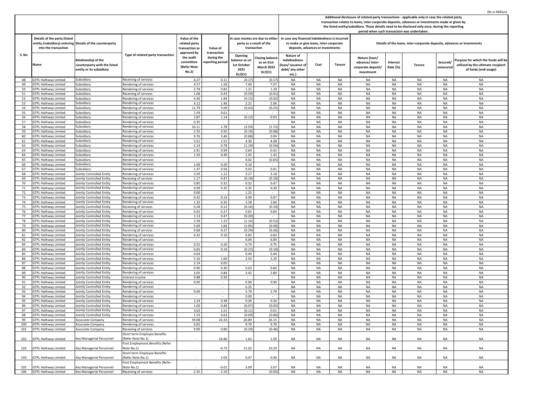|       |                              |                                                          |                                   |                |                          |                            |                                  |                                                                                                                                                                                                     |                                        |               |                                                                         |           |               |           | (Rs in Million)                     |  |
|-------|------------------------------|----------------------------------------------------------|-----------------------------------|----------------|--------------------------|----------------------------|----------------------------------|-----------------------------------------------------------------------------------------------------------------------------------------------------------------------------------------------------|----------------------------------------|---------------|-------------------------------------------------------------------------|-----------|---------------|-----------|-------------------------------------|--|
|       |                              |                                                          |                                   |                |                          |                            |                                  |                                                                                                                                                                                                     |                                        |               |                                                                         |           |               |           |                                     |  |
|       |                              |                                                          |                                   |                |                          |                            |                                  | Additional disclosure of related party transactions - applicable only in case the related party<br>transaction relates to loans, inter-corporate deposits, advances or investments made or given by |                                        |               |                                                                         |           |               |           |                                     |  |
|       |                              |                                                          |                                   |                |                          |                            |                                  |                                                                                                                                                                                                     |                                        |               |                                                                         |           |               |           |                                     |  |
|       |                              |                                                          |                                   |                |                          |                            |                                  | the listed entity/subsidiary. These details need to be disclosed only once, during the reporting<br>period when such transaction was undertaken.                                                    |                                        |               |                                                                         |           |               |           |                                     |  |
|       |                              |                                                          |                                   |                |                          |                            |                                  |                                                                                                                                                                                                     |                                        |               |                                                                         |           |               |           |                                     |  |
|       | Details of the party (listed |                                                          |                                   | Value of the   |                          |                            | In case monies are due to either | In case any financial indebtedness is incurred                                                                                                                                                      |                                        |               |                                                                         |           |               |           |                                     |  |
|       |                              | entity /subsidiary) entering Details of the counterparty |                                   | related party  |                          |                            | party as a result of the         |                                                                                                                                                                                                     | to make or give loans, inter-corporate |               | Details of the loans, inter-corporate deposits, advances or investments |           |               |           |                                     |  |
|       | into the transaction         |                                                          |                                   | transaction as | Value of                 | transaction                |                                  |                                                                                                                                                                                                     | deposits, advances or investments      |               |                                                                         |           |               |           |                                     |  |
|       |                              |                                                          |                                   | approved by    | transaction              |                            |                                  |                                                                                                                                                                                                     |                                        |               |                                                                         |           |               |           |                                     |  |
| S. No |                              |                                                          | Type of related party transaction | the audit      | during the               | Opening<br>losing balance. |                                  | Nature of                                                                                                                                                                                           |                                        | Nature (loan/ |                                                                         |           |               |           |                                     |  |
|       |                              | Relationship of the                                      |                                   | committee      | eporting period          | balance as on              |                                  | indebtedness                                                                                                                                                                                        |                                        |               |                                                                         |           |               |           | Purpose for which the funds will be |  |
|       | Name                         | counterparty with the listed                             |                                   | (Refer Note    |                          | 1st October                | as on 31st                       | loan/issuance o                                                                                                                                                                                     | Cost                                   | <b>Tenure</b> | advance/inter-                                                          | Interest  | <b>Tenure</b> | Secured/  | utilised by the ultimate recipient  |  |
|       |                              | entity or its subsidiary                                 |                                   |                |                          | 2021                       | March 2022                       | debt/ any other                                                                                                                                                                                     |                                        |               | corporate deposit/                                                      | Rate (%)  |               | unsecured | of funds (end-usage)                |  |
|       |                              |                                                          |                                   | No.2)          |                          | Dr/(Cr)                    | Dr/(Cr)                          | etc.)                                                                                                                                                                                               |                                        |               | investment                                                              |           |               |           |                                     |  |
| 48    | <b>GTPL Hathway Limited</b>  | Subsidiary                                               | Receiving of services             | 0.27           | 0.11                     | (0.17)                     | (0.17)                           | NA                                                                                                                                                                                                  | NA                                     | NA            | <b>NA</b>                                                               | NA        | <b>NA</b>     | NA        | NA                                  |  |
| 49    | <b>GTPL Hathway Limited</b>  | subsidiary                                               | Rendering of services             | 4.57           | 1.58                     | 7.40                       | 7.07                             | <b>NA</b>                                                                                                                                                                                           | <b>NA</b>                              | <b>NA</b>     | NA                                                                      | <b>NA</b> | <b>NA</b>     | <b>NA</b> | <b>NA</b>                           |  |
| 50    | <b>STPL Hathway Limited</b>  | Subsidiary                                               | Rendering of services             | 2.79           | 0.82                     | 1.21                       | 1.20                             | NA                                                                                                                                                                                                  | <b>NA</b>                              | <b>NA</b>     | <b>NA</b>                                                               | NA        | NA            | NA        | <b>NA</b>                           |  |
|       | <b>GTPL Hathway Limited</b>  |                                                          |                                   | 1.08           |                          |                            |                                  |                                                                                                                                                                                                     |                                        |               |                                                                         | <b>NA</b> |               |           |                                     |  |
| 51    |                              | Subsidiary                                               | Receiving of services             |                | 0.43                     | (0.59)                     | (0.91)                           | NA                                                                                                                                                                                                  | <b>NA</b>                              | <b>NA</b>     | NA                                                                      |           | <b>NA</b>     | NA        | <b>NA</b>                           |  |
| 52    | <b>GTPL Hathway Limited</b>  | Subsidiary                                               | Rendering of services             | 4.36           | 1.84                     | (0.15)                     | (0.02)                           | NA                                                                                                                                                                                                  | <b>NA</b>                              | NA            | NA                                                                      | <b>NA</b> | NA            | <b>NA</b> | <b>NA</b>                           |  |
| 53    | <b>GTPL Hathway Limited</b>  | Subsidiary                                               | Rendering of services             | 4.12           | 1.46                     | 2.21                       | 2.04                             | NA                                                                                                                                                                                                  | <b>NA</b>                              | <b>NA</b>     | NA                                                                      | NA        | NA            | NA        | <b>NA</b>                           |  |
| 54    | <b>STPL Hathway Limited</b>  | Subsidiary                                               | Rendering of services             | 11.79          | 5.09                     | (0.42)                     | (0.25)                           | NA                                                                                                                                                                                                  | <b>NA</b>                              | <b>NA</b>     | NA                                                                      | <b>NA</b> | <b>NA</b>     | NA        | <b>NA</b>                           |  |
| 55    | <b>GTPL Hathway Limited</b>  | subsidiary                                               | Rendering of services             | 1.59           | 0.01                     |                            |                                  | NA                                                                                                                                                                                                  | <b>NA</b>                              | <b>NA</b>     | NA                                                                      | NA        | <b>NA</b>     | NA        | <b>NA</b>                           |  |
| 56    | <b>GTPL Hathway Limited</b>  | subsidiary                                               | Rendering of services             | 2.87           | 1.14                     | (0.12)                     | 0.03                             | NA                                                                                                                                                                                                  | <b>NA</b>                              | <b>NA</b>     | NA                                                                      | NA        | <b>NA</b>     | NA        | <b>NA</b>                           |  |
| 57    | <b>STPL Hathway Limited</b>  | Subsidiary                                               | Rendering of services             | 0.35           |                          |                            |                                  | NA                                                                                                                                                                                                  | <b>NA</b>                              | <b>NA</b>     | <b>NA</b>                                                               | <b>NA</b> | <b>NA</b>     | <b>NA</b> | <b>NA</b>                           |  |
| 58    | <b>STPL Hathway Limited</b>  | Subsidiary                                               | Rendering of services             | 10.11          | 2.78                     | (3.59)                     | (1.72)                           | NA                                                                                                                                                                                                  | <b>NA</b>                              | <b>NA</b>     | <b>NA</b>                                                               | <b>NA</b> | <b>NA</b>     | NA        | <b>NA</b>                           |  |
| 59    | <b>GTPL Hathway Limited</b>  | Subsidiary                                               | Rendering of services             | 2.55           | 0.92                     | (0.19)                     | (0.08)                           | NA                                                                                                                                                                                                  | <b>NA</b>                              | <b>NA</b>     | NA                                                                      | <b>NA</b> | <b>NA</b>     | NA        | <b>NA</b>                           |  |
| 60    | <b>GTPL Hathway Limited</b>  | Subsidiary                                               | Rendering of services             | 9.76           | 3.46                     | (0.68)                     | 0.04                             | NA                                                                                                                                                                                                  | <b>NA</b>                              | <b>NA</b>     | NA                                                                      | <b>NA</b> | <b>NA</b>     | <b>NA</b> | <b>NA</b>                           |  |
| 61    | <b>GTPL Hathway Limited</b>  | Subsidiary                                               | Rendering of services             | 5.51           | 1.51                     | 4.30                       | 4.38                             | NA                                                                                                                                                                                                  | <b>NA</b>                              | <b>NA</b>     | NA                                                                      | NA        | <b>NA</b>     | <b>NA</b> | <b>NA</b>                           |  |
| 62    | <b>GTPL Hathway Limited</b>  | Subsidiary                                               | Rendering of services             | 2.14           | 0.78                     | (1.19)                     | (0.56)                           | NA                                                                                                                                                                                                  | <b>NA</b>                              | <b>NA</b>     | NA                                                                      | NA        | <b>NA</b>     | <b>NA</b> | <b>NA</b>                           |  |
| 63    | <b>GTPL Hathway Limited</b>  | ubsidiary                                                | Rendering of services             | 2.91           | 0.99                     | 0.64                       | 0.42                             | NA                                                                                                                                                                                                  | <b>NA</b>                              | <b>NA</b>     | NA                                                                      | <b>NA</b> | NA            | NA        | <b>NA</b>                           |  |
| 64    | GTPL Hathway Limited         | Subsidiary                                               | Rendering of services             | 1.50           | 0.49                     | 1.45                       | 1.43                             | NA                                                                                                                                                                                                  | NA                                     | <b>NA</b>     | NA                                                                      | NA        | NA            | NA        | <b>NA</b>                           |  |
| 65    | <b>STPL Hathway Limited</b>  | Subsidiary                                               | Rendering of services             |                |                          | 0.02                       | (0.65)                           | NA                                                                                                                                                                                                  | <b>NA</b>                              | <b>NA</b>     | NA                                                                      | NA        | <b>NA</b>     | <b>NA</b> | <b>NA</b>                           |  |
| 66    | <b>GTPL Hathway Limited</b>  | Subsidiary                                               | Rendering of services             | 1.09           | 0.20                     | 0.10                       |                                  | NA                                                                                                                                                                                                  | <b>NA</b>                              | <b>NA</b>     | NA                                                                      | <b>NA</b> | <b>NA</b>     | <b>NA</b> | <b>NA</b>                           |  |
| 67    | <b>GTPL Hathway Limited</b>  | Subsidiary                                               | Rendering of services             | 1.47           | 0.56                     | 0.03                       | 0.01                             | NA                                                                                                                                                                                                  | NA                                     | NA            | NA                                                                      | NA        | NA            | NA        | <b>NA</b>                           |  |
| 68    |                              | <b>Iointly Controlled Entity</b>                         |                                   | 3.39           | 1.12                     | 3.27                       |                                  |                                                                                                                                                                                                     |                                        | <b>NA</b>     | <b>NA</b>                                                               |           | <b>NA</b>     | NA        | <b>NA</b>                           |  |
|       | <b>GTPL Hathway Limited</b>  |                                                          | Rendering of services             |                |                          |                            | 3.18                             | NA                                                                                                                                                                                                  | <b>NA</b>                              |               |                                                                         | NA        |               |           |                                     |  |
| 69    | <b>STPL Hathway Limited</b>  | Jointly Controlled Entity                                | Receiving of services             | 1.17           | 0.47                     | (0.18)                     | (0.18)                           | NA                                                                                                                                                                                                  | <b>NA</b>                              | <b>NA</b>     | NA                                                                      | <b>NA</b> | <b>NA</b>     | NA        | <b>NA</b>                           |  |
| 70    | <b>GTPL Hathway Limited</b>  | Jointly Controlled Entity                                | Rendering of services             | 0.85           | 0.32                     | 0.52                       | 0.47                             | NA                                                                                                                                                                                                  | NA                                     | NA            | NA.                                                                     | NA        | NA            | NA        | <b>NA</b>                           |  |
| 71    | <b>GTPL Hathway Limited</b>  | <b>Iointly Controlled Entity</b>                         | Rendering of services             | 0.99           | 0.35                     | 0.35                       | 0.30                             | NA                                                                                                                                                                                                  | <b>NA</b>                              | <b>NA</b>     | <b>NA</b>                                                               | NA        | <b>NA</b>     | <b>NA</b> | <b>NA</b>                           |  |
| 72    | <b>STPL Hathway Limited</b>  | Jointly Controlled Entity                                | Rendering of services             | 0.00           |                          | 1.25                       |                                  | <b>NA</b>                                                                                                                                                                                           | <b>NA</b>                              | <b>NA</b>     | <b>NA</b>                                                               | <b>NA</b> | <b>NA</b>     | NA        | <b>NA</b>                           |  |
| 73    | <b>GTPL Hathway Limited</b>  | <b>Jointly Controlled Entity</b>                         | Rendering of services             | 0.42           | 0.14                     | 0.09                       | 0.07                             | NA                                                                                                                                                                                                  | <b>NA</b>                              | <b>NA</b>     | NA                                                                      | NA        | <b>NA</b>     | <b>NA</b> | <b>NA</b>                           |  |
| 74    | <b>STPL Hathway Limited</b>  | ointly Controlled Entity                                 | Rendering of services             | 1.32           | 0.35                     | 2.58                       | 2.60                             | NA                                                                                                                                                                                                  | <b>NA</b>                              | <b>NA</b>     | NA                                                                      | <b>NA</b> | <b>NA</b>     | <b>NA</b> | <b>NA</b>                           |  |
| 75    | <b>GTPL Hathway Limited</b>  | <b>Jointly Controlled Entity</b>                         | Receiving of services             | 0.28           | 0.12                     | (0.16)                     | (0.19)                           | NA                                                                                                                                                                                                  | <b>NA</b>                              | <b>NA</b>     | NA                                                                      | NA        | NA            | NA        | <b>NA</b>                           |  |
| 76    | <b>STPL Hathway Limited</b>  | Jointly Controlled Entity                                | Rendering of services             | 0.92           | 0.27                     | 0.65                       | 0.64                             | NA                                                                                                                                                                                                  | NA                                     | <b>NA</b>     | NA                                                                      | <b>NA</b> | <b>NA</b>     | NA        | <b>NA</b>                           |  |
| 77    | <b>GTPL Hathway Limited</b>  | ointly Controlled Entity                                 | Rendering of services             | 1.13           | 0.47                     | (0.20)                     |                                  | NA                                                                                                                                                                                                  | <b>NA</b>                              | <b>NA</b>     | NA                                                                      | <b>NA</b> | <b>NA</b>     | NA        | <b>NA</b>                           |  |
| 78    | <b>GTPL Hathway Limited</b>  | Jointly Controlled Entity                                | Rendering of services             | 2.39           | 1.22                     | (1.14)                     | (0.52)                           | NA                                                                                                                                                                                                  | <b>NA</b>                              | <b>NA</b>     | NA                                                                      | NA        | <b>NA</b>     | <b>NA</b> | <b>NA</b>                           |  |
| 79    | <b>STPL Hathway Limited</b>  | <b>Iointly Controlled Entity</b>                         | Rendering of services             | 5.69           | 1.66                     | (1.05)                     | (0.49)                           | NA                                                                                                                                                                                                  | <b>NA</b>                              | <b>NA</b>     | NA                                                                      | NA        | NA            | <b>NA</b> | <b>NA</b>                           |  |
| 80    | <b>GTPL Hathway Limited</b>  | <b>Jointly Controlled Entity</b>                         | Receiving of services             | 0.68           | 0.27                     | (0.29)                     | (0.36)                           | NA                                                                                                                                                                                                  | <b>NA</b>                              | <b>NA</b>     | NA                                                                      | NA        | <b>NA</b>     | NA        | <b>NA</b>                           |  |
| 81    | <b>GTPL Hathway Limited</b>  | <b>Jointly Controlled Entity</b>                         | Rendering of services             | 0.32           | 0.10                     | 0.83                       | 0.83                             | NA                                                                                                                                                                                                  | NA                                     | <b>NA</b>     | NA                                                                      | NA        | <b>NA</b>     | NA        | <b>NA</b>                           |  |
| 82    | <b>GTPL Hathway Limited</b>  | <b>Iointly Controlled Entity</b>                         | Rendering of services             |                |                          | 6.04                       | 6.04                             | NA                                                                                                                                                                                                  | <b>NA</b>                              | <b>NA</b>     | <b>NA</b>                                                               | <b>NA</b> | <b>NA</b>     | <b>NA</b> | <b>NA</b>                           |  |
| 83    | <b>GTPL Hathway Limited</b>  | <b>Iointly Controlled Entity</b>                         | Rendering of services             | 0.52           | 0.20                     | 0.74                       | 0.75                             | NA                                                                                                                                                                                                  | <b>NA</b>                              | <b>NA</b>     | <b>NA</b>                                                               | <b>NA</b> | <b>NA</b>     | NA        | <b>NA</b>                           |  |
| 84    | <b>GTPL Hathway Limited</b>  | <b>Jointly Controlled Entity</b>                         | Rendering of services             | 0.65           | 0.19                     | (0.22)                     | (0.10)                           | NA                                                                                                                                                                                                  | <b>NA</b>                              | <b>NA</b>     | NA                                                                      | NA        | <b>NA</b>     | <b>NA</b> | <b>NA</b>                           |  |
| 85    | <b>STPL Hathway Limited</b>  | Iointly Controlled Entity                                | Rendering of services             | 0.64           |                          | 0.44                       | 0.44                             | NA                                                                                                                                                                                                  | <b>NA</b>                              | <b>NA</b>     | NA                                                                      | <b>NA</b> | <b>NA</b>     | <b>NA</b> | <b>NA</b>                           |  |
| 86    | <b>GTPL Hathway Limited</b>  | <b>Iointly Controlled Entity</b>                         | Rendering of services             | 5.16           | 1.69                     | 2.54                       | 2.29                             | NA                                                                                                                                                                                                  | NA                                     | <b>NA</b>     | NA                                                                      | NA        | <b>NA</b>     | NA        | <b>NA</b>                           |  |
| 87    | <b>GTPL Hathway Limited</b>  | Jointly Controlled Entity                                | Rendering of services             | 2.14           | 0.05                     | $\sim$                     |                                  | NA                                                                                                                                                                                                  | <b>NA</b>                              | <b>NA</b>     | <b>NA</b>                                                               | NA        | <b>NA</b>     | NA        | <b>NA</b>                           |  |
| 88    | <b>GTPL Hathway Limited</b>  | ointly Controlled Entity                                 | Rendering of services             | 0.90           | 0.30                     | 0.63                       | 0.60                             | NA                                                                                                                                                                                                  | <b>NA</b>                              | <b>NA</b>     | NA                                                                      | <b>NA</b> | <b>NA</b>     | <b>NA</b> | <b>NA</b>                           |  |
|       |                              |                                                          |                                   |                | 0.84                     |                            | 2.80                             |                                                                                                                                                                                                     |                                        |               |                                                                         |           |               | NA        |                                     |  |
| 89    | <b>GTPL Hathway Limited</b>  | <b>Iointly Controlled Entity</b>                         | Rendering of services             | 3.05           |                          | 2.42                       |                                  | NA                                                                                                                                                                                                  | <b>NA</b>                              | <b>NA</b>     | NA.                                                                     | NA        | <b>NA</b>     |           | <b>NA</b>                           |  |
| 90    | <b>GTPL Hathway Limited</b>  | <b>Iointly Controlled Entity</b>                         | Interest income                   | 0.88           | 0.30                     | $\sim$                     |                                  | NA                                                                                                                                                                                                  | <b>NA</b>                              | <b>NA</b>     | NA                                                                      | NA        | <b>NA</b>     | NA        | <b>NA</b>                           |  |
| 91    | <b>GTPL Hathway Limited</b>  | <b>Jointly Controlled Entity</b>                         | Rendering of services             | 0.00           |                          | 0.90                       | 0.90                             | NA                                                                                                                                                                                                  | <b>NA</b>                              | <b>NA</b>     | NA                                                                      | NA        | <b>NA</b>     | NA        | <b>NA</b>                           |  |
| 92    | <b>GTPL Hathway Limited</b>  | <b>Jointly Controlled Entity</b>                         | Rendering of services             |                | $\overline{\phantom{a}}$ | 0.35                       | $\sim$                           | NA                                                                                                                                                                                                  | NA                                     | <b>NA</b>     | NA                                                                      | NA        | <b>NA</b>     | NA        | <b>NA</b>                           |  |
| 93    | <b>STPL Hathway Limited</b>  | <b>Iointly Controlled Entity</b>                         | Rendering of services             | 0.00           |                          | 5.79                       | 5.79                             | NA                                                                                                                                                                                                  | <b>NA</b>                              | <b>NA</b>     | <b>NA</b>                                                               | <b>NA</b> | <b>NA</b>     | <b>NA</b> | <b>NA</b>                           |  |
| 94    | <b>GTPL Hathway Limited</b>  | <b>Jointly Controlled Entity</b>                         | Rendering of services             |                |                          | 0.00                       |                                  | <b>NA</b>                                                                                                                                                                                           | <b>NA</b>                              | <b>NA</b>     | <b>NA</b>                                                               | <b>NA</b> | <b>NA</b>     | <b>NA</b> | <b>NA</b>                           |  |
| 95    | <b>GTPL Hathway Limited</b>  | Jointly Controlled Entity                                | Rendering of services             | 1.24           | 0.38                     | 0.26                       | 0.26                             | NA                                                                                                                                                                                                  | <b>NA</b>                              | <b>NA</b>     | NA                                                                      | <b>NA</b> | <b>NA</b>     | <b>NA</b> | <b>NA</b>                           |  |
| 96    | <b>GTPL Hathway Limited</b>  | Jointly Controlled Entity                                | Rendering of services             | 1.00           | 0.40                     | (0.07)                     | (0.02)                           | <b>NA</b>                                                                                                                                                                                           | <b>NA</b>                              | <b>NA</b>     | NA                                                                      | <b>NA</b> | <b>NA</b>     | NA        | <b>NA</b>                           |  |
| 97    | GTPL Hathway Limited         | Jointly Controlled Entity                                | Rendering of services             | 3.63           | 1.51                     | (0.11)                     | 0.01                             | NA                                                                                                                                                                                                  | NA                                     | NA            | NA.                                                                     | NA        | NA            | NA        | NA                                  |  |
| 98    | <b>GTPL Hathway Limited</b>  | Jointly Controlled Entity                                | Rendering of services             | 1.53           | 0.63                     | (0.09)                     | (0.06)                           | <b>NA</b>                                                                                                                                                                                           | <b>NA</b>                              | <b>NA</b>     | NA                                                                      | NA        | NA            | NA        | <b>NA</b>                           |  |
| 99    | <b>GTPL Hathway Limited</b>  | Associate Company                                        | Rendering of services             | 59.08          | 24.33                    | 26.89                      | 26.15                            | <b>NA</b>                                                                                                                                                                                           | <b>NA</b>                              | <b>NA</b>     | NA                                                                      | NA        | <b>NA</b>     | <b>NA</b> | <b>NA</b>                           |  |
| 100   | <b>GTPL Hathway Limited</b>  | Associate Company                                        | Rendering of services             | 6.65           | $\sim$                   | 9.70                       | 9.70                             | NA                                                                                                                                                                                                  | NA                                     | <b>NA</b>     | <b>NA</b>                                                               | NA        | <b>NA</b>     | NA        | NA                                  |  |
| 101   | <b>GTPL Hathway Limited</b>  | Associate Company                                        | Receiving of services             | 9.00           | 0.80                     | (0.29)                     | (0.46)                           | NA                                                                                                                                                                                                  | NA                                     | <b>NA</b>     | NA                                                                      | NA        | NA            | NA        | NA                                  |  |
|       |                              |                                                          | Short term Employee Benefits      |                |                          |                            |                                  |                                                                                                                                                                                                     |                                        |               |                                                                         |           |               |           |                                     |  |
| 102   | <b>GTPL Hathway Limited</b>  | Key Managerial Personnel                                 | (Refer Note No.1)                 |                | 16.86                    | 1.62                       | 1.59                             | NA                                                                                                                                                                                                  | NA                                     | NA            | NA                                                                      | NA        | NA            | NA        | NA                                  |  |
|       |                              |                                                          | Post Employment Benefits (Refer   |                |                          |                            |                                  |                                                                                                                                                                                                     |                                        |               |                                                                         |           |               |           |                                     |  |
| 103   | <b>GTPL Hathway Limited</b>  | <b>Key Managerial Personnel</b>                          | Note No.1)                        |                | $-0.73$                  | 11.02                      | 10.29                            | NA                                                                                                                                                                                                  | NA                                     | NA            | NA                                                                      | NA        | NA            | NA        | <b>NA</b>                           |  |
|       |                              |                                                          | Short term Employee Benefits      |                |                          |                            |                                  |                                                                                                                                                                                                     |                                        |               |                                                                         |           |               |           |                                     |  |
|       |                              |                                                          | (Refer Note No.1)                 |                | 5.03                     |                            |                                  |                                                                                                                                                                                                     |                                        |               |                                                                         |           |               |           |                                     |  |
| 104   | <b>GTPL Hathway Limited</b>  | Key Managerial Personnel                                 |                                   |                |                          | 0.47                       | 0.49                             | NA                                                                                                                                                                                                  | NA                                     | NA            | NA.                                                                     | NA        | NA            | NA        | NA                                  |  |
|       |                              |                                                          | Post Employment Benefits (Refer   |                |                          |                            |                                  |                                                                                                                                                                                                     |                                        |               |                                                                         |           |               |           |                                     |  |
| 105   | <b>GTPL Hathway Limited</b>  | Key Managerial Personnel                                 | Note No.1)                        |                | $-0.01$                  | 3.09                       | 3.07                             | NA                                                                                                                                                                                                  | NA                                     | NA            | <b>NA</b>                                                               | NA        | NA            | NA        | <b>NA</b>                           |  |
| 106   | <b>GTPL Hathway Limited</b>  | Key Managerial Personnel                                 | Receiving of services             | 2.35           | 2.19                     |                            | (0.03)                           | <b>NA</b>                                                                                                                                                                                           | <b>NA</b>                              | NA            | NA                                                                      | NA        | <b>NA</b>     | NA        | NA                                  |  |